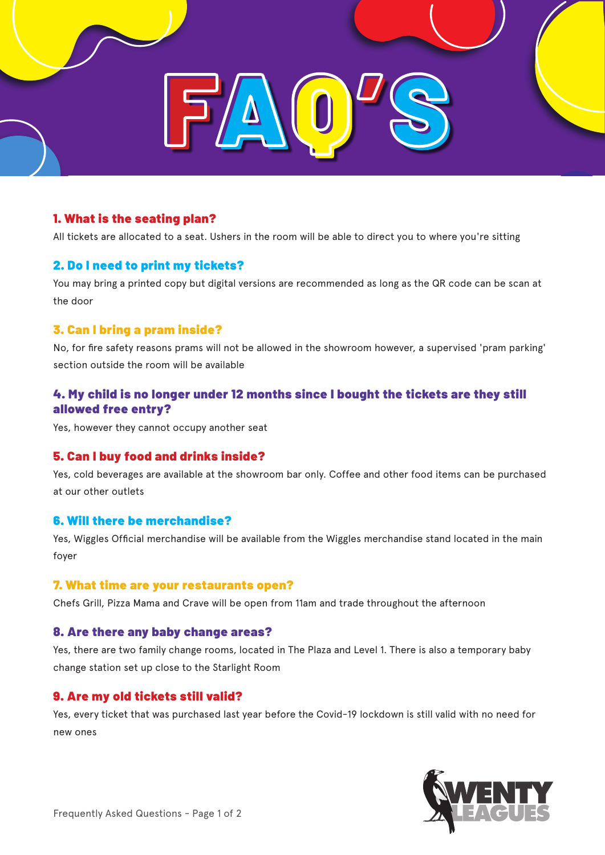

# 1. What is the seating plan?

All tickets are allocated to a seat. Ushers in the room will be able to direct you to where you're sitting

### 2. Do I need to print my tickets?

You may bring a printed copy but digital versions are recommended as long as the QR code can be scan at the door

#### 3. Can I bring a pram inside?

No, for fire safety reasons prams will not be allowed in the showroom however, a supervised 'pram parking' section outside the room will be available

# 4. My child is no longer under 12 months since I bought the tickets are they still allowed free entry?

Yes, however they cannot occupy another seat

### 5. Can I buy food and drinks inside?

Yes, cold beverages are available at the showroom bar only. Coffee and other food items can be purchased at our other outlets

#### 6. Will there be merchandise?

Yes, Wiggles Official merchandise will be available from the Wiggles merchandise stand located in the main foyer

#### 7. What time are your restaurants open?

Chefs Grill, Pizza Mama and Crave will be open from 11am and trade throughout the afternoon

#### 8. Are there any baby change areas?

Yes, there are two family change rooms, located in The Plaza and Level 1. There is also a temporary baby change station set up close to the Starlight Room

#### 9. Are my old tickets still valid?

Yes, every ticket that was purchased last year before the Covid-19 lockdown is still valid with no need for new ones